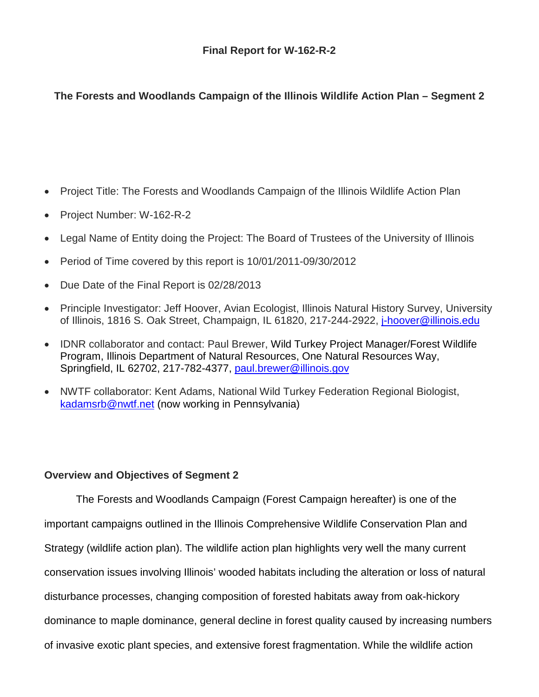# **The Forests and Woodlands Campaign of the Illinois Wildlife Action Plan – Segment 2**

- Project Title: The Forests and Woodlands Campaign of the Illinois Wildlife Action Plan
- Project Number: W-162-R-2
- Legal Name of Entity doing the Project: The Board of Trustees of the University of Illinois
- Period of Time covered by this report is 10/01/2011-09/30/2012
- Due Date of the Final Report is 02/28/2013
- Principle Investigator: Jeff Hoover, Avian Ecologist, Illinois Natural History Survey, University of Illinois, 1816 S. Oak Street, Champaign, IL 61820, 217-244-2922, [j-hoover@illinois.edu](mailto:j-hoover@illinois.edu)
- IDNR collaborator and contact: Paul Brewer, Wild Turkey Project Manager/Forest Wildlife Program, Illinois Department of Natural Resources, One Natural Resources Way, Springfield, IL 62702, 217-782-4377, [paul.brewer@illinois.gov](mailto:paul.brewer@illinois.gov)
- NWTF collaborator: Kent Adams, National Wild Turkey Federation Regional Biologist, [kadamsrb@nwtf.net](mailto:kadamsrb@nwtf.net) (now working in Pennsylvania)

## **Overview and Objectives of Segment 2**

The Forests and Woodlands Campaign (Forest Campaign hereafter) is one of the important campaigns outlined in the Illinois Comprehensive Wildlife Conservation Plan and Strategy (wildlife action plan). The wildlife action plan highlights very well the many current conservation issues involving Illinois' wooded habitats including the alteration or loss of natural disturbance processes, changing composition of forested habitats away from oak-hickory dominance to maple dominance, general decline in forest quality caused by increasing numbers of invasive exotic plant species, and extensive forest fragmentation. While the wildlife action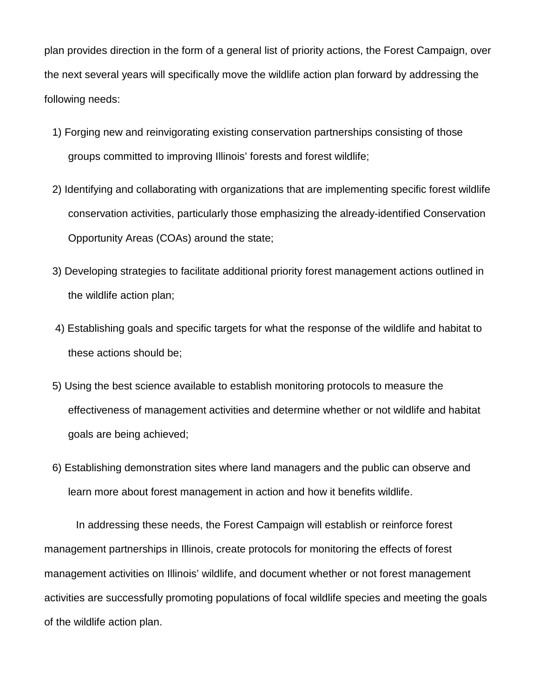plan provides direction in the form of a general list of priority actions, the Forest Campaign, over the next several years will specifically move the wildlife action plan forward by addressing the following needs:

- 1) Forging new and reinvigorating existing conservation partnerships consisting of those groups committed to improving Illinois' forests and forest wildlife;
- 2) Identifying and collaborating with organizations that are implementing specific forest wildlife conservation activities, particularly those emphasizing the already-identified Conservation Opportunity Areas (COAs) around the state;
- 3) Developing strategies to facilitate additional priority forest management actions outlined in the wildlife action plan;
- 4) Establishing goals and specific targets for what the response of the wildlife and habitat to these actions should be;
- 5) Using the best science available to establish monitoring protocols to measure the effectiveness of management activities and determine whether or not wildlife and habitat goals are being achieved;
- 6) Establishing demonstration sites where land managers and the public can observe and learn more about forest management in action and how it benefits wildlife.

In addressing these needs, the Forest Campaign will establish or reinforce forest management partnerships in Illinois, create protocols for monitoring the effects of forest management activities on Illinois' wildlife, and document whether or not forest management activities are successfully promoting populations of focal wildlife species and meeting the goals of the wildlife action plan.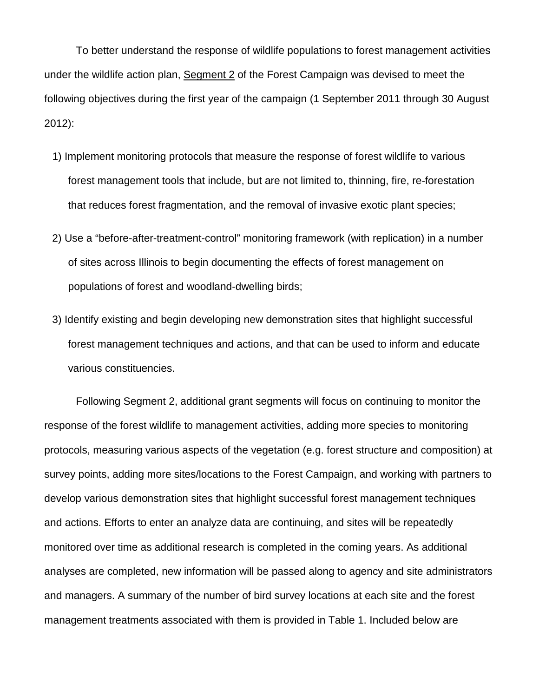To better understand the response of wildlife populations to forest management activities under the wildlife action plan, Segment 2 of the Forest Campaign was devised to meet the following objectives during the first year of the campaign (1 September 2011 through 30 August 2012):

- 1) Implement monitoring protocols that measure the response of forest wildlife to various forest management tools that include, but are not limited to, thinning, fire, re-forestation that reduces forest fragmentation, and the removal of invasive exotic plant species;
- 2) Use a "before-after-treatment-control" monitoring framework (with replication) in a number of sites across Illinois to begin documenting the effects of forest management on populations of forest and woodland-dwelling birds;
- 3) Identify existing and begin developing new demonstration sites that highlight successful forest management techniques and actions, and that can be used to inform and educate various constituencies.

Following Segment 2, additional grant segments will focus on continuing to monitor the response of the forest wildlife to management activities, adding more species to monitoring protocols, measuring various aspects of the vegetation (e.g. forest structure and composition) at survey points, adding more sites/locations to the Forest Campaign, and working with partners to develop various demonstration sites that highlight successful forest management techniques and actions. Efforts to enter an analyze data are continuing, and sites will be repeatedly monitored over time as additional research is completed in the coming years. As additional analyses are completed, new information will be passed along to agency and site administrators and managers. A summary of the number of bird survey locations at each site and the forest management treatments associated with them is provided in Table 1. Included below are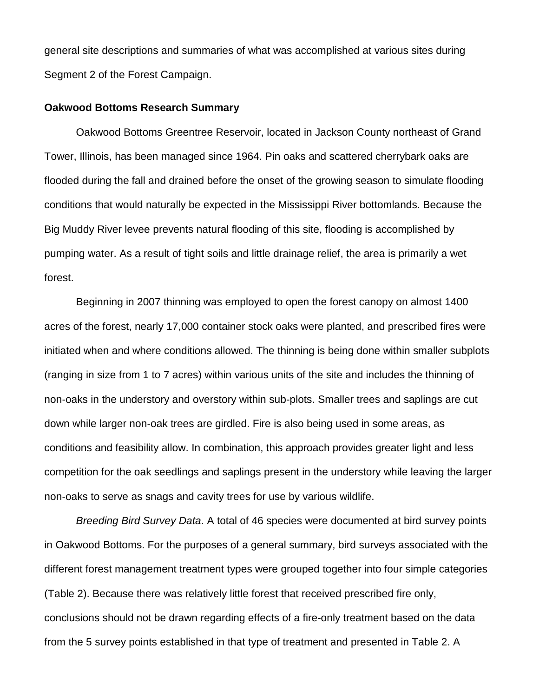general site descriptions and summaries of what was accomplished at various sites during Segment 2 of the Forest Campaign.

## **Oakwood Bottoms Research Summary**

Oakwood Bottoms Greentree Reservoir, located in Jackson County northeast of Grand Tower, Illinois, has been managed since 1964. Pin oaks and scattered cherrybark oaks are flooded during the fall and drained before the onset of the growing season to simulate flooding conditions that would naturally be expected in the Mississippi River bottomlands. Because the Big Muddy River levee prevents natural flooding of this site, flooding is accomplished by pumping water. As a result of tight soils and little drainage relief, the area is primarily a wet forest.

Beginning in 2007 thinning was employed to open the forest canopy on almost 1400 acres of the forest, nearly 17,000 container stock oaks were planted, and prescribed fires were initiated when and where conditions allowed. The thinning is being done within smaller subplots (ranging in size from 1 to 7 acres) within various units of the site and includes the thinning of non-oaks in the understory and overstory within sub-plots. Smaller trees and saplings are cut down while larger non-oak trees are girdled. Fire is also being used in some areas, as conditions and feasibility allow. In combination, this approach provides greater light and less competition for the oak seedlings and saplings present in the understory while leaving the larger non-oaks to serve as snags and cavity trees for use by various wildlife.

*Breeding Bird Survey Data*. A total of 46 species were documented at bird survey points in Oakwood Bottoms. For the purposes of a general summary, bird surveys associated with the different forest management treatment types were grouped together into four simple categories (Table 2). Because there was relatively little forest that received prescribed fire only, conclusions should not be drawn regarding effects of a fire-only treatment based on the data from the 5 survey points established in that type of treatment and presented in Table 2. A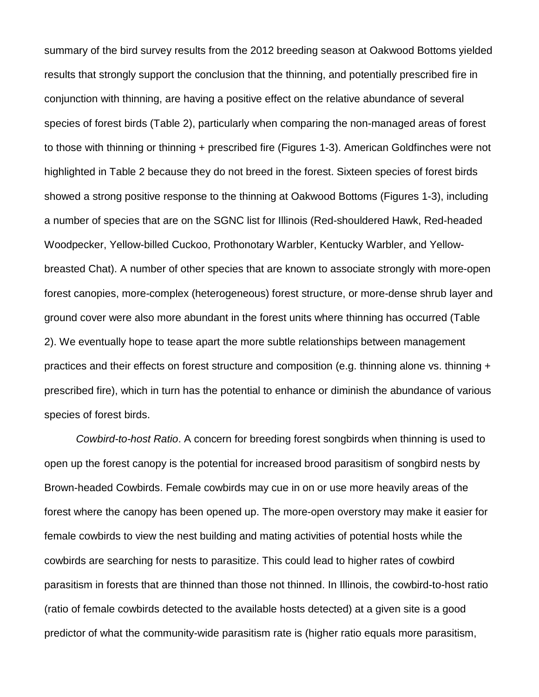summary of the bird survey results from the 2012 breeding season at Oakwood Bottoms yielded results that strongly support the conclusion that the thinning, and potentially prescribed fire in conjunction with thinning, are having a positive effect on the relative abundance of several species of forest birds (Table 2), particularly when comparing the non-managed areas of forest to those with thinning or thinning + prescribed fire (Figures 1-3). American Goldfinches were not highlighted in Table 2 because they do not breed in the forest. Sixteen species of forest birds showed a strong positive response to the thinning at Oakwood Bottoms (Figures 1-3), including a number of species that are on the SGNC list for Illinois (Red-shouldered Hawk, Red-headed Woodpecker, Yellow-billed Cuckoo, Prothonotary Warbler, Kentucky Warbler, and Yellowbreasted Chat). A number of other species that are known to associate strongly with more-open forest canopies, more-complex (heterogeneous) forest structure, or more-dense shrub layer and ground cover were also more abundant in the forest units where thinning has occurred (Table 2). We eventually hope to tease apart the more subtle relationships between management practices and their effects on forest structure and composition (e.g. thinning alone vs. thinning + prescribed fire), which in turn has the potential to enhance or diminish the abundance of various species of forest birds.

*Cowbird-to-host Ratio*. A concern for breeding forest songbirds when thinning is used to open up the forest canopy is the potential for increased brood parasitism of songbird nests by Brown-headed Cowbirds. Female cowbirds may cue in on or use more heavily areas of the forest where the canopy has been opened up. The more-open overstory may make it easier for female cowbirds to view the nest building and mating activities of potential hosts while the cowbirds are searching for nests to parasitize. This could lead to higher rates of cowbird parasitism in forests that are thinned than those not thinned. In Illinois, the cowbird-to-host ratio (ratio of female cowbirds detected to the available hosts detected) at a given site is a good predictor of what the community-wide parasitism rate is (higher ratio equals more parasitism,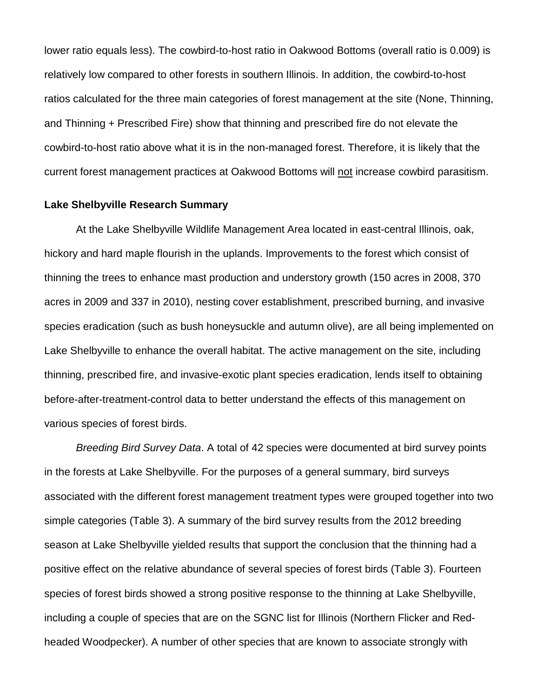lower ratio equals less). The cowbird-to-host ratio in Oakwood Bottoms (overall ratio is 0.009) is relatively low compared to other forests in southern Illinois. In addition, the cowbird-to-host ratios calculated for the three main categories of forest management at the site (None, Thinning, and Thinning + Prescribed Fire) show that thinning and prescribed fire do not elevate the cowbird-to-host ratio above what it is in the non-managed forest. Therefore, it is likely that the current forest management practices at Oakwood Bottoms will not increase cowbird parasitism.

### **Lake Shelbyville Research Summary**

At the Lake Shelbyville Wildlife Management Area located in east-central Illinois, oak, hickory and hard maple flourish in the uplands. Improvements to the forest which consist of thinning the trees to enhance mast production and understory growth (150 acres in 2008, 370 acres in 2009 and 337 in 2010), nesting cover establishment, prescribed burning, and invasive species eradication (such as bush honeysuckle and autumn olive), are all being implemented on Lake Shelbyville to enhance the overall habitat. The active management on the site, including thinning, prescribed fire, and invasive-exotic plant species eradication, lends itself to obtaining before-after-treatment-control data to better understand the effects of this management on various species of forest birds.

*Breeding Bird Survey Data*. A total of 42 species were documented at bird survey points in the forests at Lake Shelbyville. For the purposes of a general summary, bird surveys associated with the different forest management treatment types were grouped together into two simple categories (Table 3). A summary of the bird survey results from the 2012 breeding season at Lake Shelbyville yielded results that support the conclusion that the thinning had a positive effect on the relative abundance of several species of forest birds (Table 3). Fourteen species of forest birds showed a strong positive response to the thinning at Lake Shelbyville, including a couple of species that are on the SGNC list for Illinois (Northern Flicker and Redheaded Woodpecker). A number of other species that are known to associate strongly with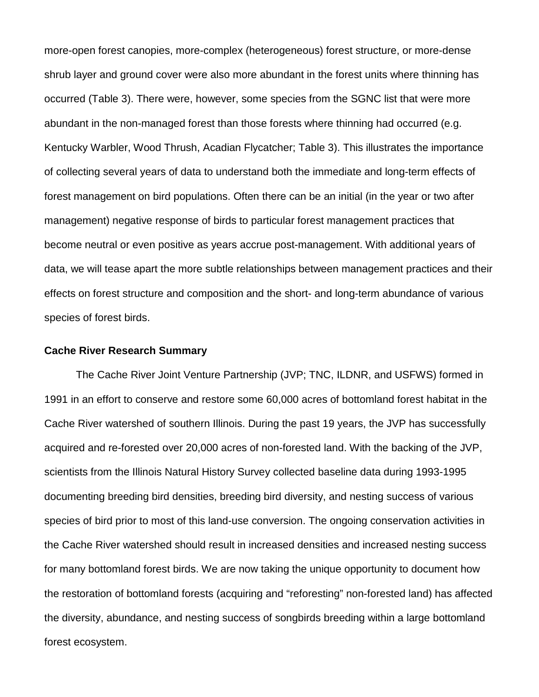more-open forest canopies, more-complex (heterogeneous) forest structure, or more-dense shrub layer and ground cover were also more abundant in the forest units where thinning has occurred (Table 3). There were, however, some species from the SGNC list that were more abundant in the non-managed forest than those forests where thinning had occurred (e.g. Kentucky Warbler, Wood Thrush, Acadian Flycatcher; Table 3). This illustrates the importance of collecting several years of data to understand both the immediate and long-term effects of forest management on bird populations. Often there can be an initial (in the year or two after management) negative response of birds to particular forest management practices that become neutral or even positive as years accrue post-management. With additional years of data, we will tease apart the more subtle relationships between management practices and their effects on forest structure and composition and the short- and long-term abundance of various species of forest birds.

#### **Cache River Research Summary**

The Cache River Joint Venture Partnership (JVP; TNC, ILDNR, and USFWS) formed in 1991 in an effort to conserve and restore some 60,000 acres of bottomland forest habitat in the Cache River watershed of southern Illinois. During the past 19 years, the JVP has successfully acquired and re-forested over 20,000 acres of non-forested land. With the backing of the JVP, scientists from the Illinois Natural History Survey collected baseline data during 1993-1995 documenting breeding bird densities, breeding bird diversity, and nesting success of various species of bird prior to most of this land-use conversion. The ongoing conservation activities in the Cache River watershed should result in increased densities and increased nesting success for many bottomland forest birds. We are now taking the unique opportunity to document how the restoration of bottomland forests (acquiring and "reforesting" non-forested land) has affected the diversity, abundance, and nesting success of songbirds breeding within a large bottomland forest ecosystem.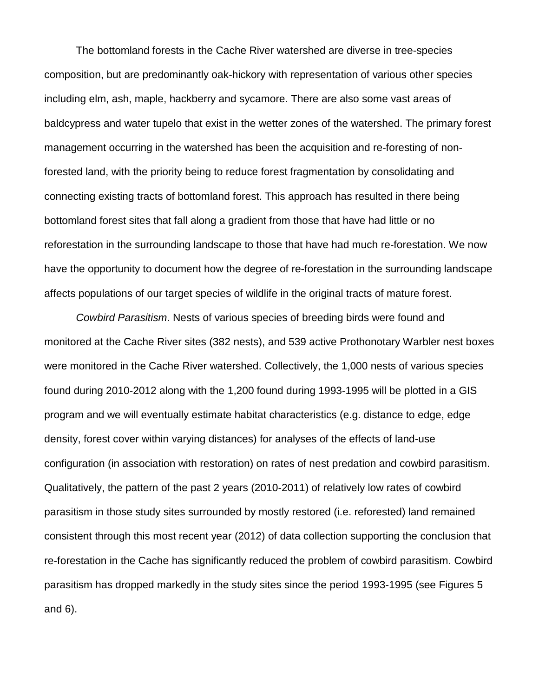The bottomland forests in the Cache River watershed are diverse in tree-species composition, but are predominantly oak-hickory with representation of various other species including elm, ash, maple, hackberry and sycamore. There are also some vast areas of baldcypress and water tupelo that exist in the wetter zones of the watershed. The primary forest management occurring in the watershed has been the acquisition and re-foresting of nonforested land, with the priority being to reduce forest fragmentation by consolidating and connecting existing tracts of bottomland forest. This approach has resulted in there being bottomland forest sites that fall along a gradient from those that have had little or no reforestation in the surrounding landscape to those that have had much re-forestation. We now have the opportunity to document how the degree of re-forestation in the surrounding landscape affects populations of our target species of wildlife in the original tracts of mature forest.

*Cowbird Parasitism*. Nests of various species of breeding birds were found and monitored at the Cache River sites (382 nests), and 539 active Prothonotary Warbler nest boxes were monitored in the Cache River watershed. Collectively, the 1,000 nests of various species found during 2010-2012 along with the 1,200 found during 1993-1995 will be plotted in a GIS program and we will eventually estimate habitat characteristics (e.g. distance to edge, edge density, forest cover within varying distances) for analyses of the effects of land-use configuration (in association with restoration) on rates of nest predation and cowbird parasitism. Qualitatively, the pattern of the past 2 years (2010-2011) of relatively low rates of cowbird parasitism in those study sites surrounded by mostly restored (i.e. reforested) land remained consistent through this most recent year (2012) of data collection supporting the conclusion that re-forestation in the Cache has significantly reduced the problem of cowbird parasitism. Cowbird parasitism has dropped markedly in the study sites since the period 1993-1995 (see Figures 5 and 6).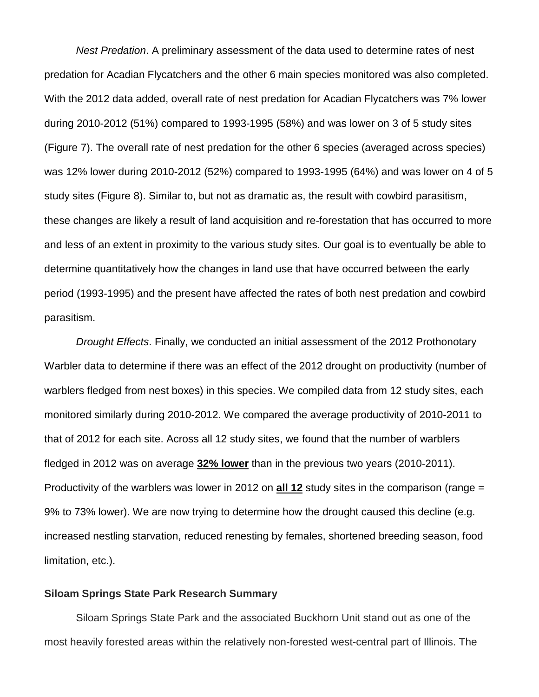*Nest Predation*. A preliminary assessment of the data used to determine rates of nest predation for Acadian Flycatchers and the other 6 main species monitored was also completed. With the 2012 data added, overall rate of nest predation for Acadian Flycatchers was 7% lower during 2010-2012 (51%) compared to 1993-1995 (58%) and was lower on 3 of 5 study sites (Figure 7). The overall rate of nest predation for the other 6 species (averaged across species) was 12% lower during 2010-2012 (52%) compared to 1993-1995 (64%) and was lower on 4 of 5 study sites (Figure 8). Similar to, but not as dramatic as, the result with cowbird parasitism, these changes are likely a result of land acquisition and re-forestation that has occurred to more and less of an extent in proximity to the various study sites. Our goal is to eventually be able to determine quantitatively how the changes in land use that have occurred between the early period (1993-1995) and the present have affected the rates of both nest predation and cowbird parasitism.

*Drought Effects*. Finally, we conducted an initial assessment of the 2012 Prothonotary Warbler data to determine if there was an effect of the 2012 drought on productivity (number of warblers fledged from nest boxes) in this species. We compiled data from 12 study sites, each monitored similarly during 2010-2012. We compared the average productivity of 2010-2011 to that of 2012 for each site. Across all 12 study sites, we found that the number of warblers fledged in 2012 was on average **32% lower** than in the previous two years (2010-2011). Productivity of the warblers was lower in 2012 on **all 12** study sites in the comparison (range = 9% to 73% lower). We are now trying to determine how the drought caused this decline (e.g. increased nestling starvation, reduced renesting by females, shortened breeding season, food limitation, etc.).

#### **Siloam Springs State Park Research Summary**

Siloam Springs State Park and the associated Buckhorn Unit stand out as one of the most heavily forested areas within the relatively non-forested west-central part of Illinois. The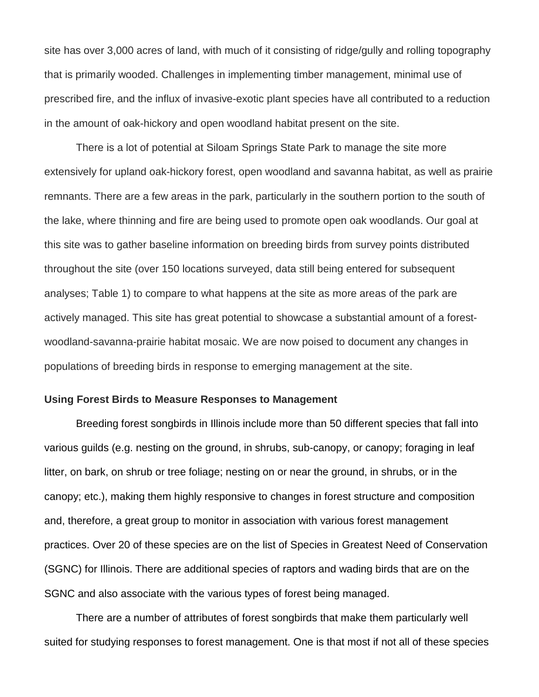site has over 3,000 acres of land, with much of it consisting of ridge/gully and rolling topography that is primarily wooded. Challenges in implementing timber management, minimal use of prescribed fire, and the influx of invasive-exotic plant species have all contributed to a reduction in the amount of oak-hickory and open woodland habitat present on the site.

There is a lot of potential at Siloam Springs State Park to manage the site more extensively for upland oak-hickory forest, open woodland and savanna habitat, as well as prairie remnants. There are a few areas in the park, particularly in the southern portion to the south of the lake, where thinning and fire are being used to promote open oak woodlands. Our goal at this site was to gather baseline information on breeding birds from survey points distributed throughout the site (over 150 locations surveyed, data still being entered for subsequent analyses; Table 1) to compare to what happens at the site as more areas of the park are actively managed. This site has great potential to showcase a substantial amount of a forestwoodland-savanna-prairie habitat mosaic. We are now poised to document any changes in populations of breeding birds in response to emerging management at the site.

#### **Using Forest Birds to Measure Responses to Management**

Breeding forest songbirds in Illinois include more than 50 different species that fall into various guilds (e.g. nesting on the ground, in shrubs, sub-canopy, or canopy; foraging in leaf litter, on bark, on shrub or tree foliage; nesting on or near the ground, in shrubs, or in the canopy; etc.), making them highly responsive to changes in forest structure and composition and, therefore, a great group to monitor in association with various forest management practices. Over 20 of these species are on the list of Species in Greatest Need of Conservation (SGNC) for Illinois. There are additional species of raptors and wading birds that are on the SGNC and also associate with the various types of forest being managed.

There are a number of attributes of forest songbirds that make them particularly well suited for studying responses to forest management. One is that most if not all of these species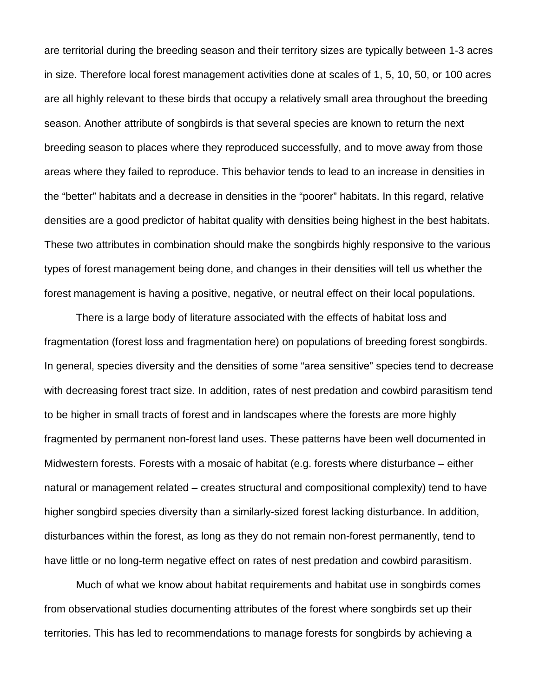are territorial during the breeding season and their territory sizes are typically between 1-3 acres in size. Therefore local forest management activities done at scales of 1, 5, 10, 50, or 100 acres are all highly relevant to these birds that occupy a relatively small area throughout the breeding season. Another attribute of songbirds is that several species are known to return the next breeding season to places where they reproduced successfully, and to move away from those areas where they failed to reproduce. This behavior tends to lead to an increase in densities in the "better" habitats and a decrease in densities in the "poorer" habitats. In this regard, relative densities are a good predictor of habitat quality with densities being highest in the best habitats. These two attributes in combination should make the songbirds highly responsive to the various types of forest management being done, and changes in their densities will tell us whether the forest management is having a positive, negative, or neutral effect on their local populations.

There is a large body of literature associated with the effects of habitat loss and fragmentation (forest loss and fragmentation here) on populations of breeding forest songbirds. In general, species diversity and the densities of some "area sensitive" species tend to decrease with decreasing forest tract size. In addition, rates of nest predation and cowbird parasitism tend to be higher in small tracts of forest and in landscapes where the forests are more highly fragmented by permanent non-forest land uses. These patterns have been well documented in Midwestern forests. Forests with a mosaic of habitat (e.g. forests where disturbance – either natural or management related – creates structural and compositional complexity) tend to have higher songbird species diversity than a similarly-sized forest lacking disturbance. In addition, disturbances within the forest, as long as they do not remain non-forest permanently, tend to have little or no long-term negative effect on rates of nest predation and cowbird parasitism.

Much of what we know about habitat requirements and habitat use in songbirds comes from observational studies documenting attributes of the forest where songbirds set up their territories. This has led to recommendations to manage forests for songbirds by achieving a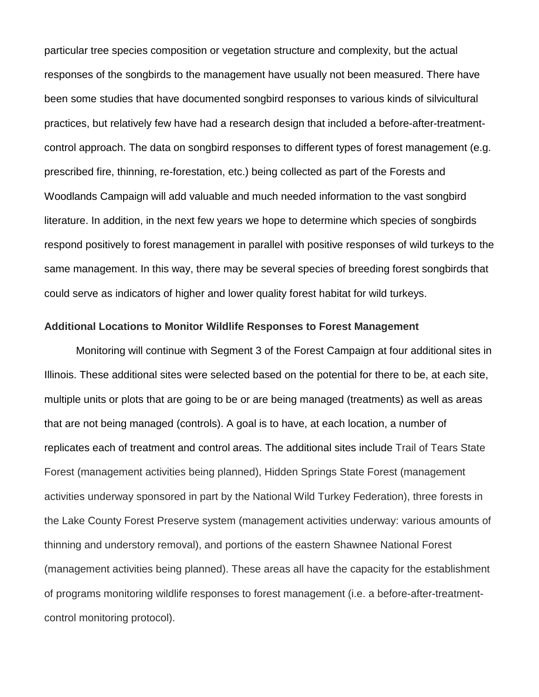particular tree species composition or vegetation structure and complexity, but the actual responses of the songbirds to the management have usually not been measured. There have been some studies that have documented songbird responses to various kinds of silvicultural practices, but relatively few have had a research design that included a before-after-treatmentcontrol approach. The data on songbird responses to different types of forest management (e.g. prescribed fire, thinning, re-forestation, etc.) being collected as part of the Forests and Woodlands Campaign will add valuable and much needed information to the vast songbird literature. In addition, in the next few years we hope to determine which species of songbirds respond positively to forest management in parallel with positive responses of wild turkeys to the same management. In this way, there may be several species of breeding forest songbirds that could serve as indicators of higher and lower quality forest habitat for wild turkeys.

## **Additional Locations to Monitor Wildlife Responses to Forest Management**

Monitoring will continue with Segment 3 of the Forest Campaign at four additional sites in Illinois. These additional sites were selected based on the potential for there to be, at each site, multiple units or plots that are going to be or are being managed (treatments) as well as areas that are not being managed (controls). A goal is to have, at each location, a number of replicates each of treatment and control areas. The additional sites include Trail of Tears State Forest (management activities being planned), Hidden Springs State Forest (management activities underway sponsored in part by the National Wild Turkey Federation), three forests in the Lake County Forest Preserve system (management activities underway: various amounts of thinning and understory removal), and portions of the eastern Shawnee National Forest (management activities being planned). These areas all have the capacity for the establishment of programs monitoring wildlife responses to forest management (i.e. a before-after-treatmentcontrol monitoring protocol).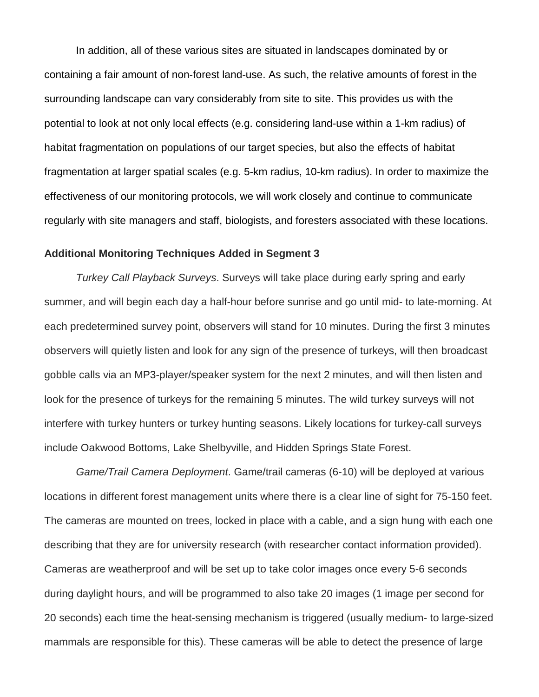In addition, all of these various sites are situated in landscapes dominated by or containing a fair amount of non-forest land-use. As such, the relative amounts of forest in the surrounding landscape can vary considerably from site to site. This provides us with the potential to look at not only local effects (e.g. considering land-use within a 1-km radius) of habitat fragmentation on populations of our target species, but also the effects of habitat fragmentation at larger spatial scales (e.g. 5-km radius, 10-km radius). In order to maximize the effectiveness of our monitoring protocols, we will work closely and continue to communicate regularly with site managers and staff, biologists, and foresters associated with these locations.

## **Additional Monitoring Techniques Added in Segment 3**

*Turkey Call Playback Surveys*. Surveys will take place during early spring and early summer, and will begin each day a half-hour before sunrise and go until mid- to late-morning. At each predetermined survey point, observers will stand for 10 minutes. During the first 3 minutes observers will quietly listen and look for any sign of the presence of turkeys, will then broadcast gobble calls via an MP3-player/speaker system for the next 2 minutes, and will then listen and look for the presence of turkeys for the remaining 5 minutes. The wild turkey surveys will not interfere with turkey hunters or turkey hunting seasons. Likely locations for turkey-call surveys include Oakwood Bottoms, Lake Shelbyville, and Hidden Springs State Forest.

*Game/Trail Camera Deployment*. Game/trail cameras (6-10) will be deployed at various locations in different forest management units where there is a clear line of sight for 75-150 feet. The cameras are mounted on trees, locked in place with a cable, and a sign hung with each one describing that they are for university research (with researcher contact information provided). Cameras are weatherproof and will be set up to take color images once every 5-6 seconds during daylight hours, and will be programmed to also take 20 images (1 image per second for 20 seconds) each time the heat-sensing mechanism is triggered (usually medium- to large-sized mammals are responsible for this). These cameras will be able to detect the presence of large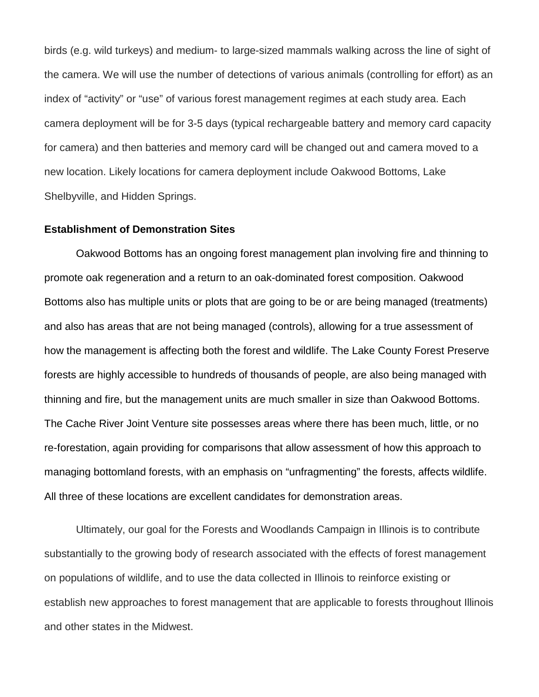birds (e.g. wild turkeys) and medium- to large-sized mammals walking across the line of sight of the camera. We will use the number of detections of various animals (controlling for effort) as an index of "activity" or "use" of various forest management regimes at each study area. Each camera deployment will be for 3-5 days (typical rechargeable battery and memory card capacity for camera) and then batteries and memory card will be changed out and camera moved to a new location. Likely locations for camera deployment include Oakwood Bottoms, Lake Shelbyville, and Hidden Springs.

## **Establishment of Demonstration Sites**

Oakwood Bottoms has an ongoing forest management plan involving fire and thinning to promote oak regeneration and a return to an oak-dominated forest composition. Oakwood Bottoms also has multiple units or plots that are going to be or are being managed (treatments) and also has areas that are not being managed (controls), allowing for a true assessment of how the management is affecting both the forest and wildlife. The Lake County Forest Preserve forests are highly accessible to hundreds of thousands of people, are also being managed with thinning and fire, but the management units are much smaller in size than Oakwood Bottoms. The Cache River Joint Venture site possesses areas where there has been much, little, or no re-forestation, again providing for comparisons that allow assessment of how this approach to managing bottomland forests, with an emphasis on "unfragmenting" the forests, affects wildlife. All three of these locations are excellent candidates for demonstration areas.

Ultimately, our goal for the Forests and Woodlands Campaign in Illinois is to contribute substantially to the growing body of research associated with the effects of forest management on populations of wildlife, and to use the data collected in Illinois to reinforce existing or establish new approaches to forest management that are applicable to forests throughout Illinois and other states in the Midwest.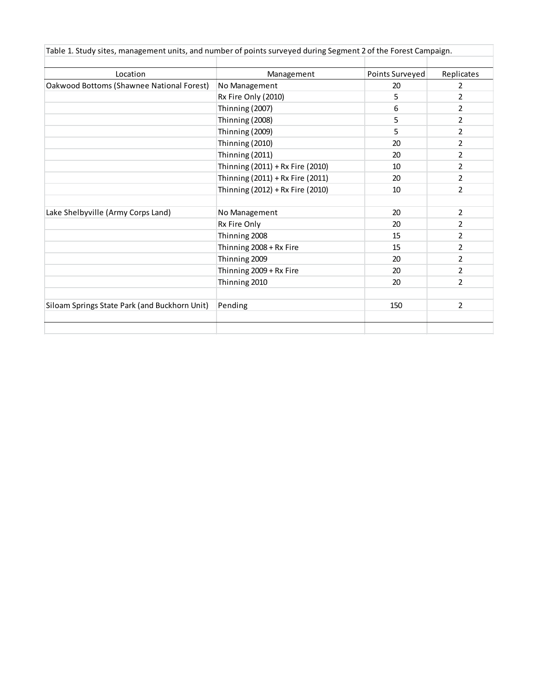| Location                                      | Management                       | Points Surveyed | Replicates     |
|-----------------------------------------------|----------------------------------|-----------------|----------------|
| Oakwood Bottoms (Shawnee National Forest)     | No Management                    | 20              | $\overline{2}$ |
|                                               | Rx Fire Only (2010)              | 5               | 2              |
|                                               | Thinning (2007)                  | 6               | 2              |
|                                               | Thinning (2008)                  | 5               | 2              |
|                                               | Thinning (2009)                  | 5               | 2              |
|                                               | Thinning (2010)                  | 20              | 2              |
|                                               | Thinning (2011)                  | 20              | $\overline{2}$ |
|                                               | Thinning (2011) + Rx Fire (2010) | 10              | 2              |
|                                               | Thinning (2011) + Rx Fire (2011) | 20              | 2              |
|                                               | Thinning (2012) + Rx Fire (2010) | 10              | $\overline{2}$ |
| Lake Shelbyville (Army Corps Land)            | No Management                    | 20              | $\overline{2}$ |
|                                               | Rx Fire Only                     | 20              | $\overline{2}$ |
|                                               | Thinning 2008                    | 15              | 2              |
|                                               | Thinning 2008 + Rx Fire          | 15              | $\overline{2}$ |
|                                               | Thinning 2009                    | 20              | $\overline{2}$ |
|                                               | Thinning 2009 + Rx Fire          | 20              | $\overline{2}$ |
|                                               | Thinning 2010                    | 20              | $\overline{2}$ |
| Siloam Springs State Park (and Buckhorn Unit) | Pending                          | 150             | $\overline{2}$ |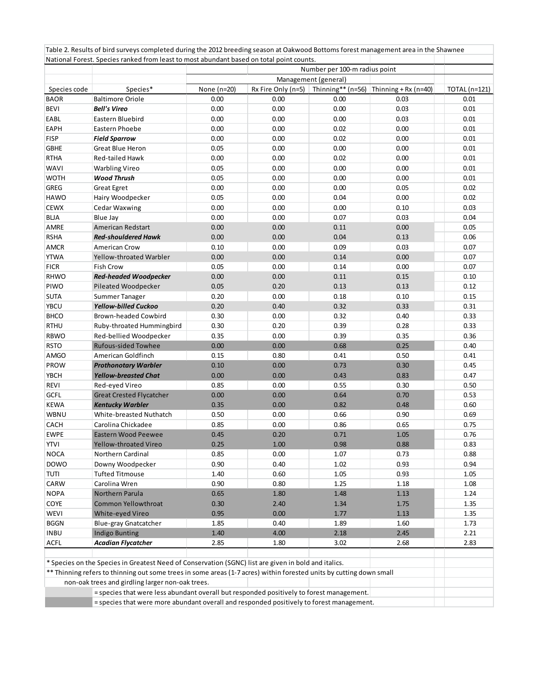|              |                                                                                                                                                                                                                             | Number per 100-m radius point<br>Management (general) |                    |                   |                      |                      |
|--------------|-----------------------------------------------------------------------------------------------------------------------------------------------------------------------------------------------------------------------------|-------------------------------------------------------|--------------------|-------------------|----------------------|----------------------|
|              |                                                                                                                                                                                                                             |                                                       |                    |                   |                      |                      |
| Species code | Species*                                                                                                                                                                                                                    | None (n=20)                                           | Rx Fire Only (n=5) | Thinning** (n=56) | Thinning + Rx (n=40) | <b>TOTAL</b> (n=121) |
| <b>BAOR</b>  | <b>Baltimore Oriole</b>                                                                                                                                                                                                     | 0.00                                                  | 0.00               | 0.00              | 0.03                 | 0.01                 |
| <b>BEVI</b>  | <b>Bell's Vireo</b>                                                                                                                                                                                                         | 0.00                                                  | 0.00               | 0.00              | 0.03                 | 0.01                 |
| EABL         | Eastern Bluebird                                                                                                                                                                                                            | 0.00                                                  | 0.00               | 0.00              | 0.03                 | 0.01                 |
| EAPH         | Eastern Phoebe                                                                                                                                                                                                              | 0.00                                                  | 0.00               | 0.02              | 0.00                 | 0.01                 |
| <b>FISP</b>  | <b>Field Sparrow</b>                                                                                                                                                                                                        | 0.00                                                  | 0.00               | 0.02              | 0.00                 | 0.01                 |
| <b>GBHE</b>  | <b>Great Blue Heron</b>                                                                                                                                                                                                     | 0.05                                                  | 0.00               | 0.00              | 0.00                 | 0.01                 |
| <b>RTHA</b>  | Red-tailed Hawk                                                                                                                                                                                                             | 0.00                                                  | 0.00               | 0.02              | 0.00                 | 0.01                 |
| <b>WAVI</b>  | <b>Warbling Vireo</b>                                                                                                                                                                                                       | 0.05                                                  | 0.00               | 0.00              | 0.00                 | 0.01                 |
| <b>WOTH</b>  | <b>Wood Thrush</b>                                                                                                                                                                                                          | 0.05                                                  | 0.00               | 0.00              | 0.00                 | 0.01                 |
| GREG         | <b>Great Egret</b>                                                                                                                                                                                                          | 0.00                                                  | 0.00               | 0.00              | 0.05                 | 0.02                 |
| <b>HAWO</b>  | Hairy Woodpecker                                                                                                                                                                                                            | 0.05                                                  | 0.00               | 0.04              | 0.00                 | 0.02                 |
| <b>CEWX</b>  | Cedar Waxwing                                                                                                                                                                                                               | 0.00                                                  | 0.00               | 0.00              | 0.10                 | 0.03                 |
| BLJA         | Blue Jay                                                                                                                                                                                                                    | 0.00                                                  | 0.00               | 0.07              | 0.03                 | 0.04                 |
| AMRE         | American Redstart                                                                                                                                                                                                           | 0.00                                                  | 0.00               | 0.11              | 0.00                 | 0.05                 |
| <b>RSHA</b>  | <b>Red-shouldered Hawk</b>                                                                                                                                                                                                  | 0.00                                                  | 0.00               | 0.04              | 0.13                 | 0.06                 |
| <b>AMCR</b>  | American Crow                                                                                                                                                                                                               | 0.10                                                  | 0.00               | 0.09              | 0.03                 | 0.07                 |
| <b>YTWA</b>  | Yellow-throated Warbler                                                                                                                                                                                                     | 0.00                                                  | 0.00               | 0.14              | 0.00                 | 0.07                 |
| <b>FICR</b>  | Fish Crow                                                                                                                                                                                                                   | 0.05                                                  | 0.00               | 0.14              | 0.00                 | 0.07                 |
| <b>RHWO</b>  | <b>Red-headed Woodpecker</b>                                                                                                                                                                                                | 0.00                                                  | 0.00               | 0.11              | 0.15                 | 0.10                 |
| PIWO         | Pileated Woodpecker                                                                                                                                                                                                         | 0.05                                                  | 0.20               | 0.13              | 0.13                 | 0.12                 |
| <b>SUTA</b>  | Summer Tanager                                                                                                                                                                                                              | 0.20                                                  | 0.00               | 0.18              | 0.10                 | 0.15                 |
| YBCU         | <b>Yellow-billed Cuckoo</b>                                                                                                                                                                                                 | 0.20                                                  | 0.40               | 0.32              | 0.33                 | 0.31                 |
|              |                                                                                                                                                                                                                             |                                                       |                    |                   |                      |                      |
| <b>BHCO</b>  | Brown-headed Cowbird                                                                                                                                                                                                        | 0.30                                                  | 0.00               | 0.32              | 0.40                 | 0.33                 |
| RTHU         | Ruby-throated Hummingbird                                                                                                                                                                                                   | 0.30                                                  | 0.20               | 0.39              | 0.28                 | 0.33                 |
| <b>RBWO</b>  | Red-bellied Woodpecker                                                                                                                                                                                                      | 0.35                                                  | 0.00               | 0.39              | 0.35                 | 0.36                 |
| <b>RSTO</b>  | <b>Rufous-sided Towhee</b>                                                                                                                                                                                                  | 0.00                                                  | 0.00               | 0.68              | 0.25                 | 0.40                 |
| <b>AMGO</b>  | American Goldfinch                                                                                                                                                                                                          | 0.15                                                  | 0.80               | 0.41              | 0.50                 | 0.41                 |
| PROW         | <b>Prothonotary Warbler</b>                                                                                                                                                                                                 | 0.10                                                  | 0.00               | 0.73              | 0.30                 | 0.45                 |
| <b>YBCH</b>  | Yellow-breasted Chat                                                                                                                                                                                                        | 0.00                                                  | 0.00               | 0.43              | 0.83                 | 0.47                 |
| REVI         | Red-eyed Vireo                                                                                                                                                                                                              | 0.85                                                  | 0.00               | 0.55              | 0.30                 | 0.50                 |
| GCFL         | <b>Great Crested Flycatcher</b>                                                                                                                                                                                             | 0.00                                                  | 0.00               | 0.64              | 0.70                 | 0.53                 |
| <b>KEWA</b>  | <b>Kentucky Warbler</b>                                                                                                                                                                                                     | 0.35                                                  | 0.00               | 0.82              | 0.48                 | 0.60                 |
| WBNU         | White-breasted Nuthatch                                                                                                                                                                                                     | 0.50                                                  | 0.00               | 0.66              | 0.90                 | 0.69                 |
| CACH         | Carolina Chickadee                                                                                                                                                                                                          | 0.85                                                  | 0.00               | 0.86              | 0.65                 | 0.75                 |
| <b>EWPE</b>  | <b>Eastern Wood Peewee</b>                                                                                                                                                                                                  | 0.45                                                  | 0.20               | 0.71              | 1.05                 | 0.76                 |
| <b>YTVI</b>  | Yellow-throated Vireo                                                                                                                                                                                                       | 0.25                                                  | 1.00               | 0.98              | 0.88                 | 0.83                 |
| <b>NOCA</b>  | Northern Cardinal                                                                                                                                                                                                           | 0.85                                                  | 0.00               | 1.07              | 0.73                 | 0.88                 |
| <b>DOWO</b>  | Downy Woodpecker                                                                                                                                                                                                            | 0.90                                                  | 0.40               | 1.02              | 0.93                 | 0.94                 |
| TUTI         | <b>Tufted Titmouse</b>                                                                                                                                                                                                      | 1.40                                                  | 0.60               | 1.05              | 0.93                 | 1.05                 |
| CARW         | Carolina Wren                                                                                                                                                                                                               | 0.90                                                  | 0.80               | 1.25              | 1.18                 | 1.08                 |
| <b>NOPA</b>  | Northern Parula                                                                                                                                                                                                             | 0.65                                                  | 1.80               | 1.48              | 1.13                 | 1.24                 |
| COYE         | <b>Common Yellowthroat</b>                                                                                                                                                                                                  | 0.30                                                  | 2.40               | 1.34              | 1.75                 | 1.35                 |
| <b>WEVI</b>  | White-eyed Vireo                                                                                                                                                                                                            | 0.95                                                  | 0.00               | 1.77              | 1.13                 | 1.35                 |
| <b>BGGN</b>  | Blue-gray Gnatcatcher                                                                                                                                                                                                       | 1.85                                                  | 0.40               | 1.89              | 1.60                 | 1.73                 |
| <b>INBU</b>  | <b>Indigo Bunting</b>                                                                                                                                                                                                       | 1.40                                                  | 4.00               | 2.18              | 2.45                 | 2.21                 |
| <b>ACFL</b>  | <b>Acadian Flycatcher</b>                                                                                                                                                                                                   | 2.85                                                  | 1.80               | 3.02              | 2.68                 | 2.83                 |
|              |                                                                                                                                                                                                                             |                                                       |                    |                   |                      |                      |
|              | * Species on the Species in Greatest Need of Conservation (SGNC) list are given in bold and italics.<br>** Thinning refers to thinning out some trees in some areas (1-7 acres) within forested units by cutting down small |                                                       |                    |                   |                      |                      |
|              | non-oak trees and girdling larger non-oak trees.                                                                                                                                                                            |                                                       |                    |                   |                      |                      |
|              | = species that were less abundant overall but responded positively to forest management.                                                                                                                                    |                                                       |                    |                   |                      |                      |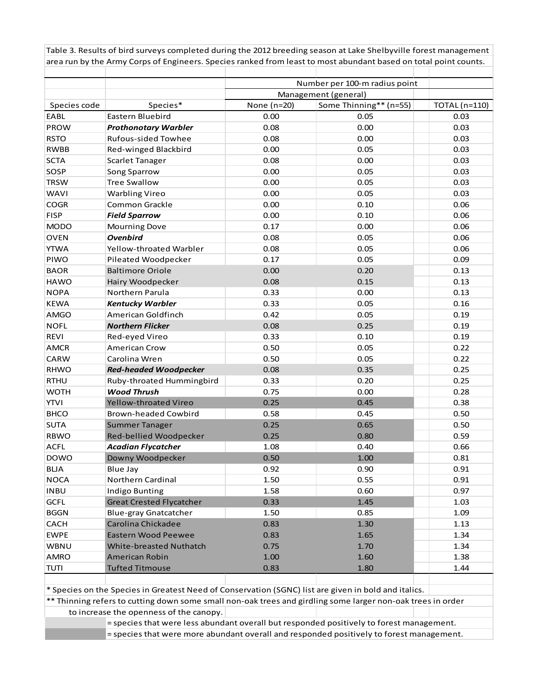Table 3. Results of bird surveys completed during the 2012 breeding season at Lake Shelbyville forest management area run by the Army Corps of Engineers. Species ranked from least to most abundant based on total point counts.

|              |                                 | Number per 100-m radius point<br>Management (general) |                        |                      |  |  |
|--------------|---------------------------------|-------------------------------------------------------|------------------------|----------------------|--|--|
|              |                                 |                                                       |                        |                      |  |  |
| Species code | Species*                        | None (n=20)                                           | Some Thinning** (n=55) | <b>TOTAL</b> (n=110) |  |  |
| EABL         | Eastern Bluebird                | 0.00                                                  | 0.05                   | 0.03                 |  |  |
| PROW         | <b>Prothonotary Warbler</b>     | 0.08                                                  | 0.00                   | 0.03                 |  |  |
| <b>RSTO</b>  | <b>Rufous-sided Towhee</b>      | 0.08                                                  | 0.00                   | 0.03                 |  |  |
| <b>RWBB</b>  | Red-winged Blackbird            | 0.00                                                  | 0.05                   | 0.03                 |  |  |
| <b>SCTA</b>  | <b>Scarlet Tanager</b>          | 0.08                                                  | 0.00                   | 0.03                 |  |  |
| SOSP         | Song Sparrow                    | 0.00                                                  | 0.05                   | 0.03                 |  |  |
| <b>TRSW</b>  | <b>Tree Swallow</b>             | 0.00                                                  | 0.05                   | 0.03                 |  |  |
| <b>WAVI</b>  | <b>Warbling Vireo</b>           | 0.00                                                  | 0.05                   | 0.03                 |  |  |
| <b>COGR</b>  | Common Grackle                  | 0.00                                                  | 0.10                   | 0.06                 |  |  |
| <b>FISP</b>  | <b>Field Sparrow</b>            | 0.00                                                  | 0.10                   | 0.06                 |  |  |
| <b>MODO</b>  | <b>Mourning Dove</b>            | 0.17                                                  | 0.00                   | 0.06                 |  |  |
| <b>OVEN</b>  | Ovenbird                        | 0.08                                                  | 0.05                   | 0.06                 |  |  |
| <b>YTWA</b>  | Yellow-throated Warbler         | 0.08                                                  | 0.05                   | 0.06                 |  |  |
| PIWO         | Pileated Woodpecker             | 0.17                                                  | 0.05                   | 0.09                 |  |  |
| <b>BAOR</b>  | <b>Baltimore Oriole</b>         | 0.00                                                  | 0.20                   | 0.13                 |  |  |
| <b>HAWO</b>  | Hairy Woodpecker                | 0.08                                                  | 0.15                   | 0.13                 |  |  |
| <b>NOPA</b>  | Northern Parula                 | 0.33                                                  | 0.00                   | 0.13                 |  |  |
| <b>KEWA</b>  | <b>Kentucky Warbler</b>         | 0.33                                                  | 0.05                   | 0.16                 |  |  |
| <b>AMGO</b>  | American Goldfinch              | 0.42                                                  | 0.05                   | 0.19                 |  |  |
| <b>NOFL</b>  | <b>Northern Flicker</b>         | 0.08                                                  | 0.25                   | 0.19                 |  |  |
| <b>REVI</b>  | Red-eyed Vireo                  | 0.33                                                  | 0.10                   | 0.19                 |  |  |
| <b>AMCR</b>  | <b>American Crow</b>            | 0.50                                                  | 0.05                   | 0.22                 |  |  |
| CARW         | Carolina Wren                   | 0.50                                                  | 0.05                   | 0.22                 |  |  |
| <b>RHWO</b>  | <b>Red-headed Woodpecker</b>    | 0.08                                                  | 0.35                   | 0.25                 |  |  |
| <b>RTHU</b>  | Ruby-throated Hummingbird       | 0.33                                                  | 0.20                   | 0.25                 |  |  |
| <b>WOTH</b>  | <b>Wood Thrush</b>              | 0.75                                                  | 0.00                   | 0.28                 |  |  |
| <b>YTVI</b>  | Yellow-throated Vireo           | 0.25                                                  | 0.45                   | 0.38                 |  |  |
| <b>BHCO</b>  | <b>Brown-headed Cowbird</b>     | 0.58                                                  | 0.45                   | 0.50                 |  |  |
| <b>SUTA</b>  | Summer Tanager                  | 0.25                                                  | 0.65                   | 0.50                 |  |  |
| <b>RBWO</b>  | Red-bellied Woodpecker          | 0.25                                                  | 0.80                   | 0.59                 |  |  |
| <b>ACFL</b>  | <b>Acadian Flycatcher</b>       | 1.08                                                  | 0.40                   | 0.66                 |  |  |
| <b>DOWO</b>  | Downy Woodpecker                | 0.50                                                  | 1.00                   | 0.81                 |  |  |
| <b>BLJA</b>  | Blue Jay                        | 0.92                                                  | 0.90                   | 0.91                 |  |  |
| <b>NOCA</b>  | Northern Cardinal               | 1.50                                                  | 0.55                   | 0.91                 |  |  |
| <b>INBU</b>  | Indigo Bunting                  | 1.58                                                  | 0.60                   | 0.97                 |  |  |
| <b>GCFL</b>  | <b>Great Crested Flycatcher</b> | 0.33                                                  | 1.45                   | 1.03                 |  |  |
| <b>BGGN</b>  | Blue-gray Gnatcatcher           | 1.50                                                  | 0.85                   | 1.09                 |  |  |
| CACH         | Carolina Chickadee              | 0.83                                                  | 1.30                   | 1.13                 |  |  |
| <b>EWPE</b>  | <b>Eastern Wood Peewee</b>      | 0.83                                                  | 1.65                   | 1.34                 |  |  |
| WBNU         | White-breasted Nuthatch         | 0.75                                                  | 1.70                   | 1.34                 |  |  |
| AMRO         | American Robin                  | 1.00                                                  | 1.60                   | 1.38                 |  |  |
| <b>TUTI</b>  | <b>Tufted Titmouse</b>          | 0.83                                                  | 1.80                   | 1.44                 |  |  |

\* Species on the Species in Greatest Need of Conservation (SGNC) list are given in bold and italics.

\*\* Thinning refers to cutting down some small non-oak trees and girdling some larger non-oak trees in order to increase the openness of the canopy.

= species that were less abundant overall but responded positively to forest management.

= species that were more abundant overall and responded positively to forest management.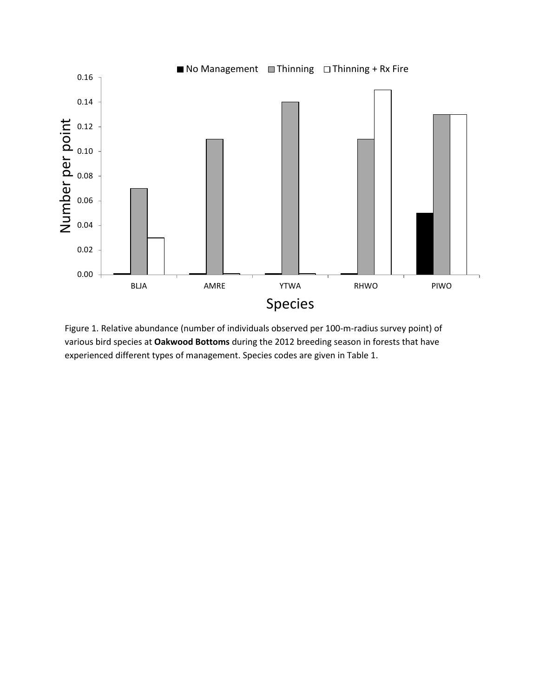

Figure 1. Relative abundance (number of individuals observed per 100-m-radius survey point) of various bird species at **Oakwood Bottoms** during the 2012 breeding season in forests that have experienced different types of management. Species codes are given in Table 1.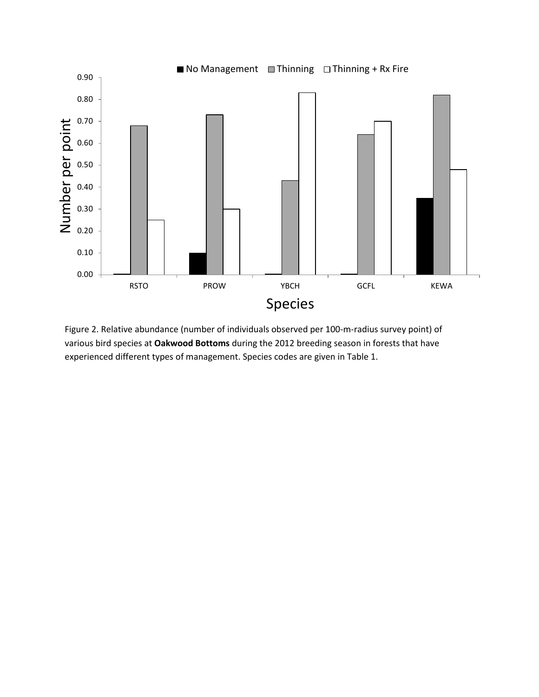

Figure 2. Relative abundance (number of individuals observed per 100-m-radius survey point) of various bird species at **Oakwood Bottoms** during the 2012 breeding season in forests that have experienced different types of management. Species codes are given in Table 1.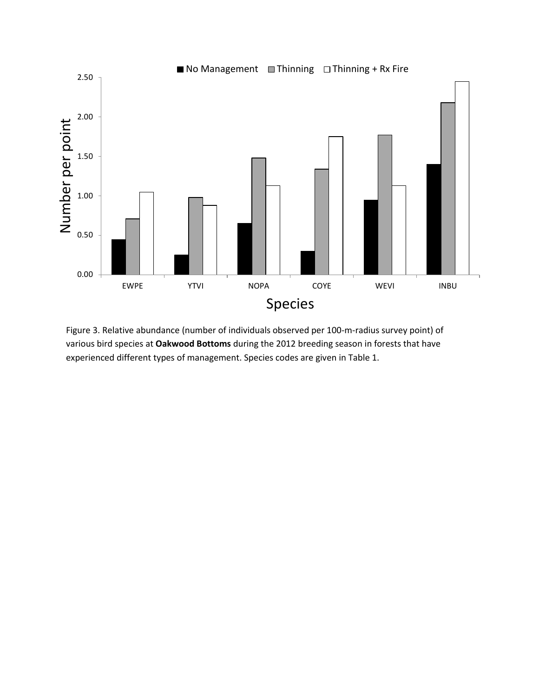

Figure 3. Relative abundance (number of individuals observed per 100-m-radius survey point) of various bird species at **Oakwood Bottoms** during the 2012 breeding season in forests that have experienced different types of management. Species codes are given in Table 1.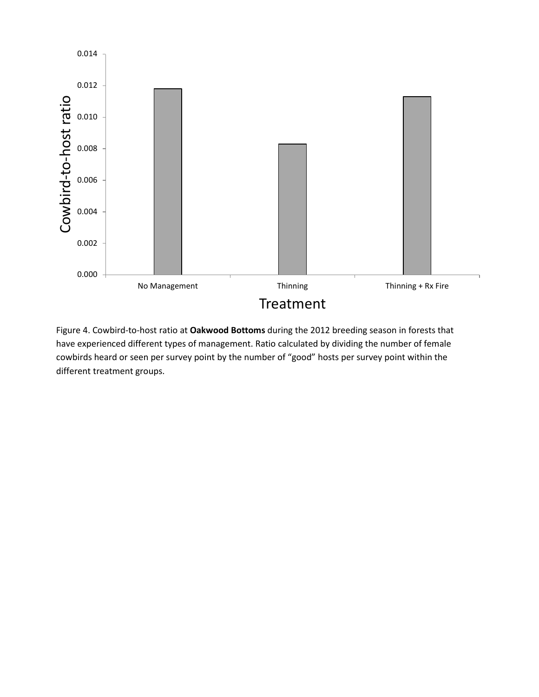

Figure 4. Cowbird-to-host ratio at **Oakwood Bottoms** during the 2012 breeding season in forests that have experienced different types of management. Ratio calculated by dividing the number of female cowbirds heard or seen per survey point by the number of "good" hosts per survey point within the different treatment groups.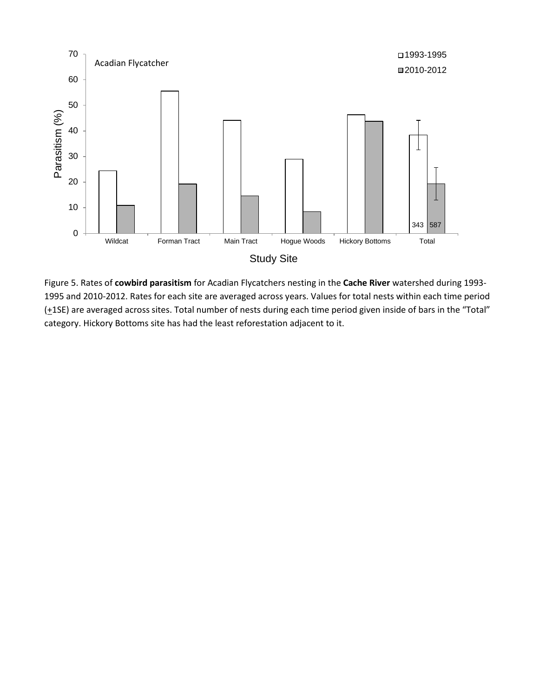

Figure 5. Rates of **cowbird parasitism** for Acadian Flycatchers nesting in the **Cache River** watershed during 1993- 1995 and 2010-2012. Rates for each site are averaged across years. Values for total nests within each time period (+1SE) are averaged across sites. Total number of nests during each time period given inside of bars in the "Total" category. Hickory Bottoms site has had the least reforestation adjacent to it.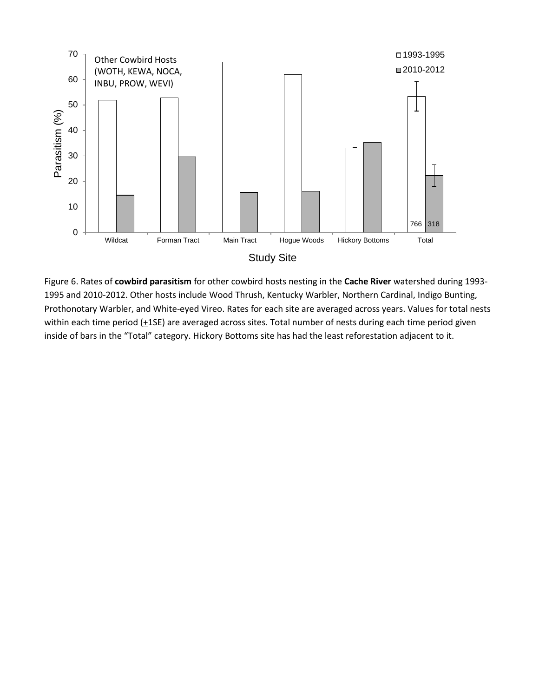

Figure 6. Rates of **cowbird parasitism** for other cowbird hosts nesting in the **Cache River** watershed during 1993- 1995 and 2010-2012. Other hosts include Wood Thrush, Kentucky Warbler, Northern Cardinal, Indigo Bunting, Prothonotary Warbler, and White-eyed Vireo. Rates for each site are averaged across years. Values for total nests within each time period  $(+1SE)$  are averaged across sites. Total number of nests during each time period given inside of bars in the "Total" category. Hickory Bottoms site has had the least reforestation adjacent to it.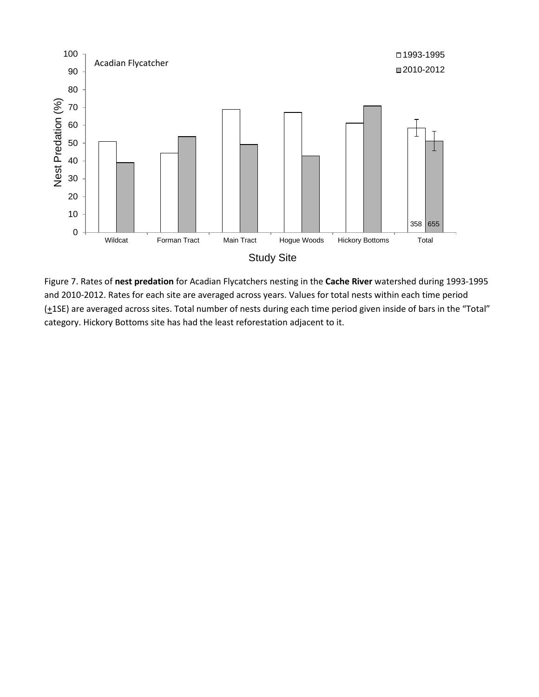

Figure 7. Rates of **nest predation** for Acadian Flycatchers nesting in the **Cache River** watershed during 1993-1995 and 2010-2012. Rates for each site are averaged across years. Values for total nests within each time period (+1SE) are averaged across sites. Total number of nests during each time period given inside of bars in the "Total" category. Hickory Bottoms site has had the least reforestation adjacent to it.